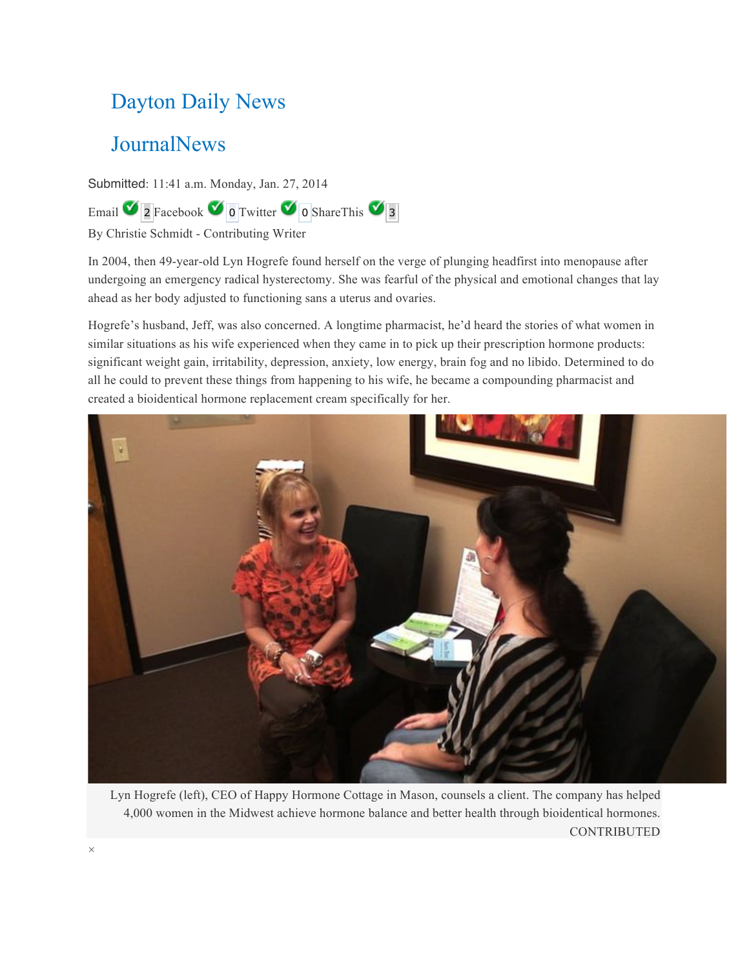## Dayton Daily News

## **JournalNews**

Submitted: 11:41 a.m. Monday, Jan. 27, 2014

Email  $\sqrt{2}$  Facebook  $\sqrt{0}$  Twitter  $\sqrt{0}$  ShareThis  $\sqrt{3}$ 

By Christie Schmidt - Contributing Writer

In 2004, then 49-year-old Lyn Hogrefe found herself on the verge of plunging headfirst into menopause after undergoing an emergency radical hysterectomy. She was fearful of the physical and emotional changes that lay ahead as her body adjusted to functioning sans a uterus and ovaries.

Hogrefe's husband, Jeff, was also concerned. A longtime pharmacist, he'd heard the stories of what women in similar situations as his wife experienced when they came in to pick up their prescription hormone products: significant weight gain, irritability, depression, anxiety, low energy, brain fog and no libido. Determined to do all he could to prevent these things from happening to his wife, he became a compounding pharmacist and created a bioidentical hormone replacement cream specifically for her.



Lyn Hogrefe (left), CEO of Happy Hormone Cottage in Mason, counsels a client. The company has helped 4,000 women in the Midwest achieve hormone balance and better health through bioidentical hormones. CONTRIBUTED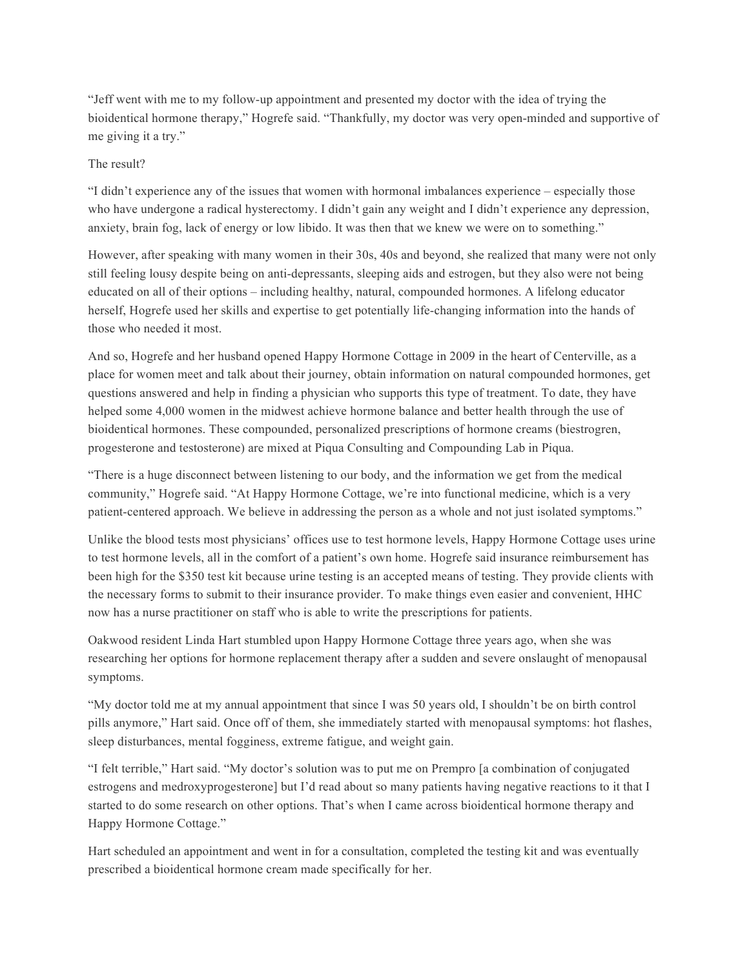"Jeff went with me to my follow-up appointment and presented my doctor with the idea of trying the bioidentical hormone therapy," Hogrefe said. "Thankfully, my doctor was very open-minded and supportive of me giving it a try."

## The result?

"I didn't experience any of the issues that women with hormonal imbalances experience – especially those who have undergone a radical hysterectomy. I didn't gain any weight and I didn't experience any depression, anxiety, brain fog, lack of energy or low libido. It was then that we knew we were on to something."

However, after speaking with many women in their 30s, 40s and beyond, she realized that many were not only still feeling lousy despite being on anti-depressants, sleeping aids and estrogen, but they also were not being educated on all of their options – including healthy, natural, compounded hormones. A lifelong educator herself, Hogrefe used her skills and expertise to get potentially life-changing information into the hands of those who needed it most.

And so, Hogrefe and her husband opened Happy Hormone Cottage in 2009 in the heart of Centerville, as a place for women meet and talk about their journey, obtain information on natural compounded hormones, get questions answered and help in finding a physician who supports this type of treatment. To date, they have helped some 4,000 women in the midwest achieve hormone balance and better health through the use of bioidentical hormones. These compounded, personalized prescriptions of hormone creams (biestrogren, progesterone and testosterone) are mixed at Piqua Consulting and Compounding Lab in Piqua.

"There is a huge disconnect between listening to our body, and the information we get from the medical community," Hogrefe said. "At Happy Hormone Cottage, we're into functional medicine, which is a very patient-centered approach. We believe in addressing the person as a whole and not just isolated symptoms."

Unlike the blood tests most physicians' offices use to test hormone levels, Happy Hormone Cottage uses urine to test hormone levels, all in the comfort of a patient's own home. Hogrefe said insurance reimbursement has been high for the \$350 test kit because urine testing is an accepted means of testing. They provide clients with the necessary forms to submit to their insurance provider. To make things even easier and convenient, HHC now has a nurse practitioner on staff who is able to write the prescriptions for patients.

Oakwood resident Linda Hart stumbled upon Happy Hormone Cottage three years ago, when she was researching her options for hormone replacement therapy after a sudden and severe onslaught of menopausal symptoms.

"My doctor told me at my annual appointment that since I was 50 years old, I shouldn't be on birth control pills anymore," Hart said. Once off of them, she immediately started with menopausal symptoms: hot flashes, sleep disturbances, mental fogginess, extreme fatigue, and weight gain.

"I felt terrible," Hart said. "My doctor's solution was to put me on Prempro [a combination of conjugated estrogens and medroxyprogesterone] but I'd read about so many patients having negative reactions to it that I started to do some research on other options. That's when I came across bioidentical hormone therapy and Happy Hormone Cottage."

Hart scheduled an appointment and went in for a consultation, completed the testing kit and was eventually prescribed a bioidentical hormone cream made specifically for her.